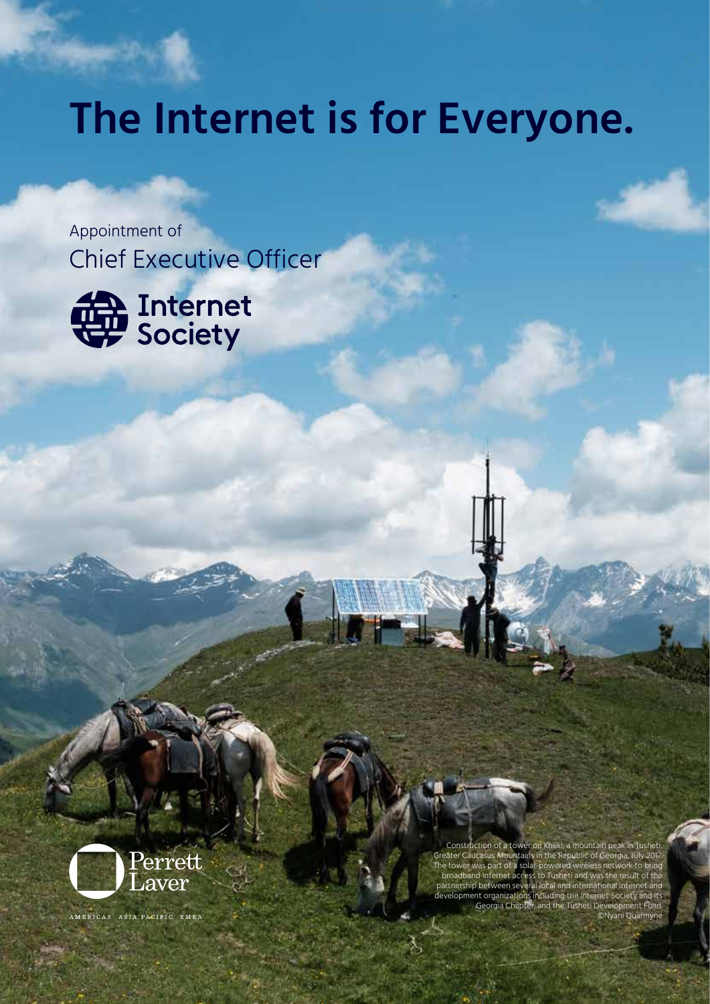# **The Internet is for Everyone.**

Appointment of Chief Executive Officer



Construction of a tower on Kheki, a mountain peak in Tusheti, Greater Caucasus Mountains in the Republic of G The tower was part of a solar-powered wire and Internet access to Tusheti and was the result of partnership between several local and international Internet and development organizations including the Internet Society and its Georgia Chapter, and the Tusheti Development Fund. ©Nyani Quarmyne



AMERICAS ASIA PACIFIC EMEA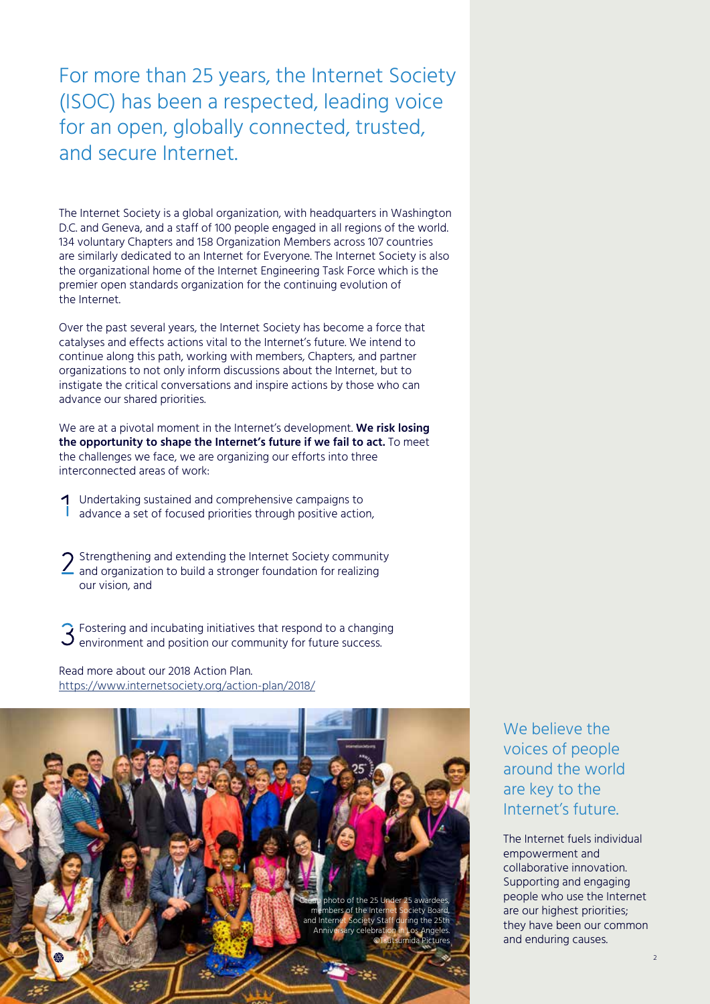For more than 25 years, the Internet Society (ISOC) has been a respected, leading voice for an open, globally connected, trusted, and secure Internet.

The Internet Society is a global organization, with headquarters in Washington D.C. and Geneva, and a staff of 100 people engaged in all regions of the world. 134 voluntary Chapters and 158 Organization Members across 107 countries are similarly dedicated to an Internet for Everyone. The Internet Society is also the organizational home of the Internet Engineering Task Force which is the premier open standards organization for the continuing evolution of the Internet.

Over the past several years, the Internet Society has become a force that catalyses and effects actions vital to the Internet's future. We intend to continue along this path, working with members, Chapters, and partner organizations to not only inform discussions about the Internet, but to instigate the critical conversations and inspire actions by those who can advance our shared priorities.

We are at a pivotal moment in the Internet's development. **We risk losing the opportunity to shape the Internet's future if we fail to act.** To meet the challenges we face, [we are organizing our efforts into three](https://www.internetsociety.org/action-plan/2018/) [interconnected areas of work:](https://www.internetsociety.org/action-plan/2018/)

- Undertaking sustained and comprehensive campaigns to advance a set of focused priorities through positive action,
- $\bigcap$  Strengthening and extending the Internet Society community and organization to build a stronger foundation for realizing our vision, and

 $\widehat{S}$  Fostering and incubating initiatives that respond to a changing environment and position our community for future success.

Read more about our 2018 Action Plan. https://www.internetsociety.org/action-plan/2018/



We believe the voices of people around the world are key to the Internet's future.

The Internet fuels individual empowerment and collaborative innovation. Supporting and engaging people who use the Internet are our highest priorities; they have been our common and enduring causes.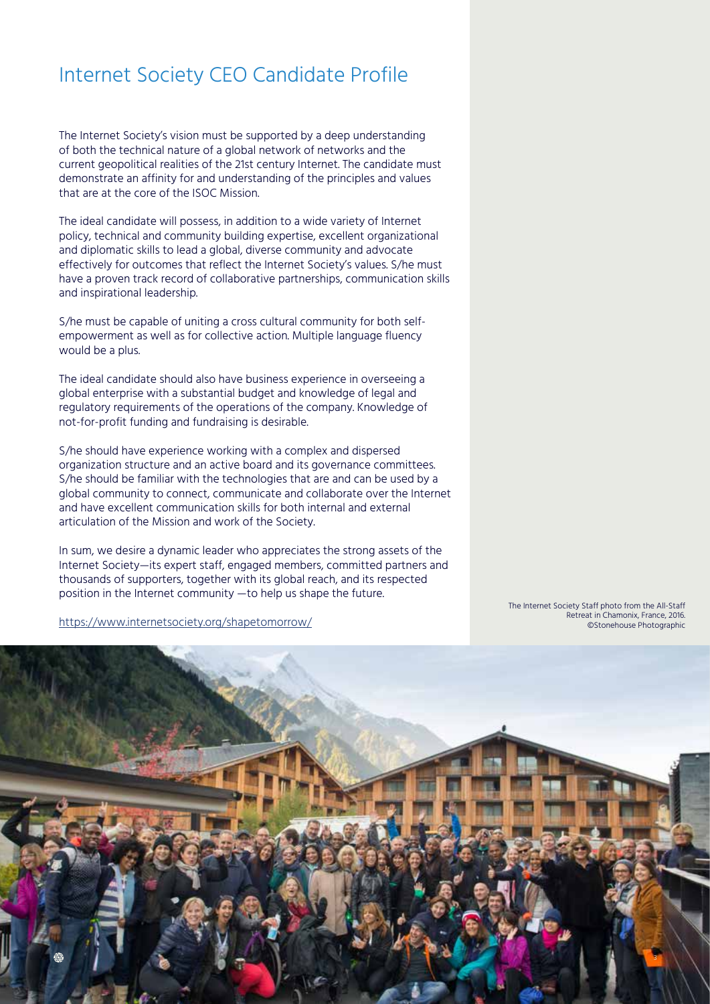### Internet Society CEO Candidate Profile

The Internet Society's vision must be supported by a deep understanding of both the technical nature of a global network of networks and the current geopolitical realities of the 21st century Internet. The candidate must demonstrate an affinity for and understanding of the principles and values that are at the core of the ISOC Mission.

The ideal candidate will possess, in addition to a wide variety of Internet policy, technical and community building expertise, excellent organizational and diplomatic skills to lead a global, diverse community and advocate effectively for outcomes that reflect the Internet Society's values. S/he must have a proven track record of collaborative partnerships, communication skills and inspirational leadership.

S/he must be capable of uniting a cross cultural community for both selfempowerment as well as for collective action. Multiple language fluency would be a plus.

The ideal candidate should also have business experience in overseeing a global enterprise with a substantial budget and knowledge of legal and regulatory requirements of the operations of the company. Knowledge of not-for-profit funding and fundraising is desirable.

S/he should have experience working with a complex and dispersed organization structure and an active board and its governance committees. S/he should be familiar with the technologies that are and can be used by a global community to connect, communicate and collaborate over the Internet and have excellent communication skills for both internal and external articulation of the Mission and work of the Society.

In sum, we desire a dynamic leader who appreciates the strong assets of the Internet Society—its expert staff, engaged members, committed partners and thousands of supporters, together with its global reach, and its respected position in the Internet community —to help us shape the future.

https://www.internetsociety.org/shapetomorrow/

The Internet Society Staff photo from the All-Staff Retreat in Chamonix, France, 2016. ©Stonehouse Photographic

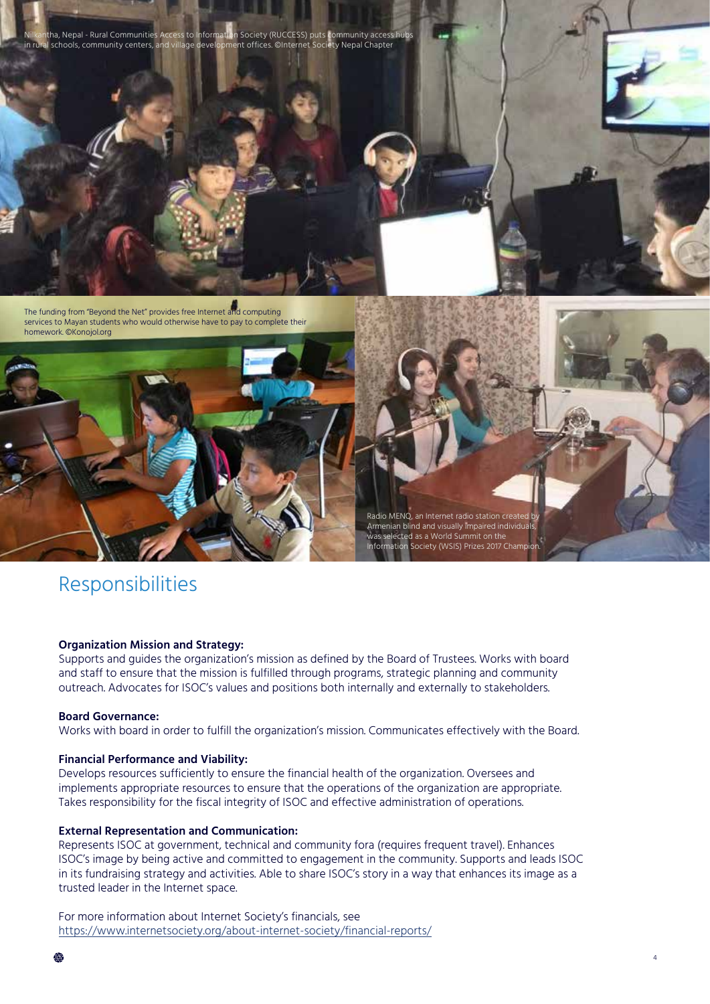

### Responsibilities

#### **Organization Mission and Strategy:**

Supports and guides the organization's mission as defined by the Board of Trustees. Works with board and staff to ensure that the mission is fulfilled through programs, strategic planning and community outreach. Advocates for ISOC's values and positions both internally and externally to stakeholders.

#### **Board Governance:**

Works with board in order to fulfill the organization's mission. Communicates effectively with the Board.

#### **Financial Performance and Viability:**

Develops resources sufficiently to ensure the financial health of the organization. Oversees and implements appropriate resources to ensure that the operations of the organization are appropriate. Takes responsibility for the fiscal integrity of ISOC and effective administration of operations.

#### **External Representation and Communication:**

Represents ISOC at government, technical and community fora (requires frequent travel). Enhances ISOC's image by being active and committed to engagement in the community. Supports and leads ISOC in its fundraising strategy and activities. Able to share ISOC's story in a way that enhances its image as a trusted leader in the Internet space.

For more information about Internet Society's financials, see https://www.internetsociety.org/about-internet-society/financial-reports/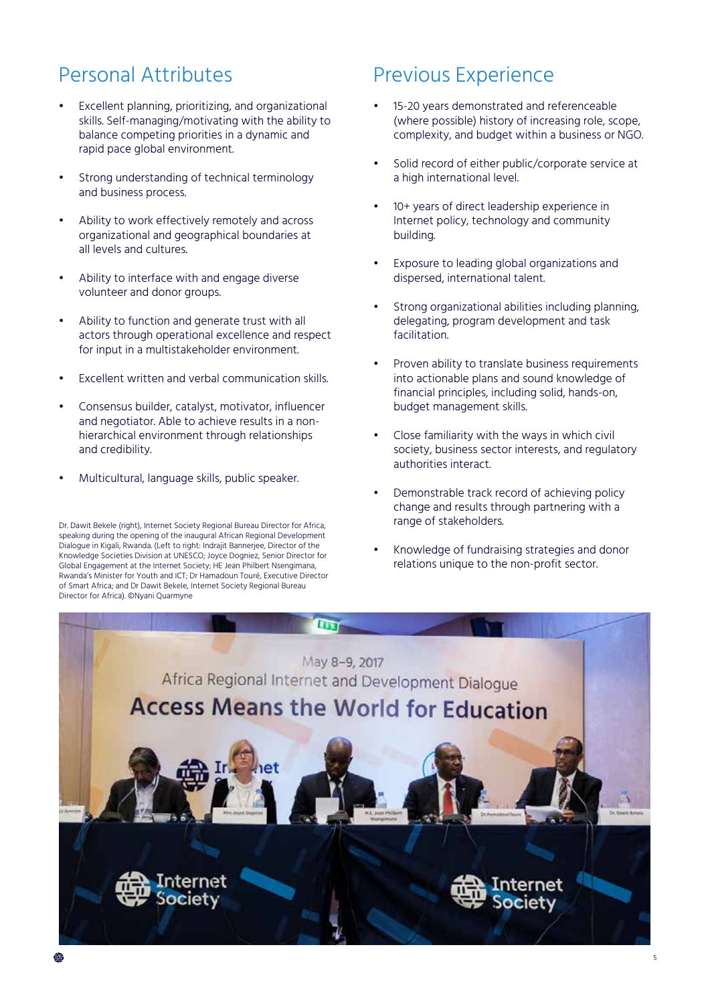# Personal Attributes

- Excellent planning, prioritizing, and organizational skills. Self-managing/motivating with the ability to balance competing priorities in a dynamic and rapid pace global environment.
- Strong understanding of technical terminology and business process.
- Ability to work effectively remotely and across organizational and geographical boundaries at all levels and cultures.
- Ability to interface with and engage diverse volunteer and donor groups.
- Ability to function and generate trust with all actors through operational excellence and respect for input in a multistakeholder environment.
- Excellent written and verbal communication skills.
- Consensus builder, catalyst, motivator, influencer and negotiator. Able to achieve results in a nonhierarchical environment through relationships and credibility.
- Multicultural, language skills, public speaker.

Dr. Dawit Bekele (right), Internet Society Regional Bureau Director for Africa, speaking during the opening of the inaugural African Regional Development Dialogue in Kigali, Rwanda. (Left to right: Indrajit Bannerjee, Director of the Knowledge Societies Division at UNESCO; Joyce Dogniez, Senior Director for Global Engagement at the Internet Society; HE Jean Philbert Nsengimana, Rwanda's Minister for Youth and ICT; Dr Hamadoun Touré, Executive Director of Smart Africa; and Dr Dawit Bekele, Internet Society Regional Bureau Director for Africa). ©Nyani Quarmyne

### Previous Experience

- 15-20 years demonstrated and referenceable (where possible) history of increasing role, scope, complexity, and budget within a business or NGO.
- Solid record of either public/corporate service at a high international level.
- 10+ years of direct leadership experience in Internet policy, technology and community building.
- Exposure to leading global organizations and dispersed, international talent.
- Strong organizational abilities including planning, delegating, program development and task facilitation.
- Proven ability to translate business requirements into actionable plans and sound knowledge of financial principles, including solid, hands-on, budget management skills.
- Close familiarity with the ways in which civil society, business sector interests, and regulatory authorities interact.
- Demonstrable track record of achieving policy change and results through partnering with a range of stakeholders.
- Knowledge of fundraising strategies and donor relations unique to the non-profit sector.

5

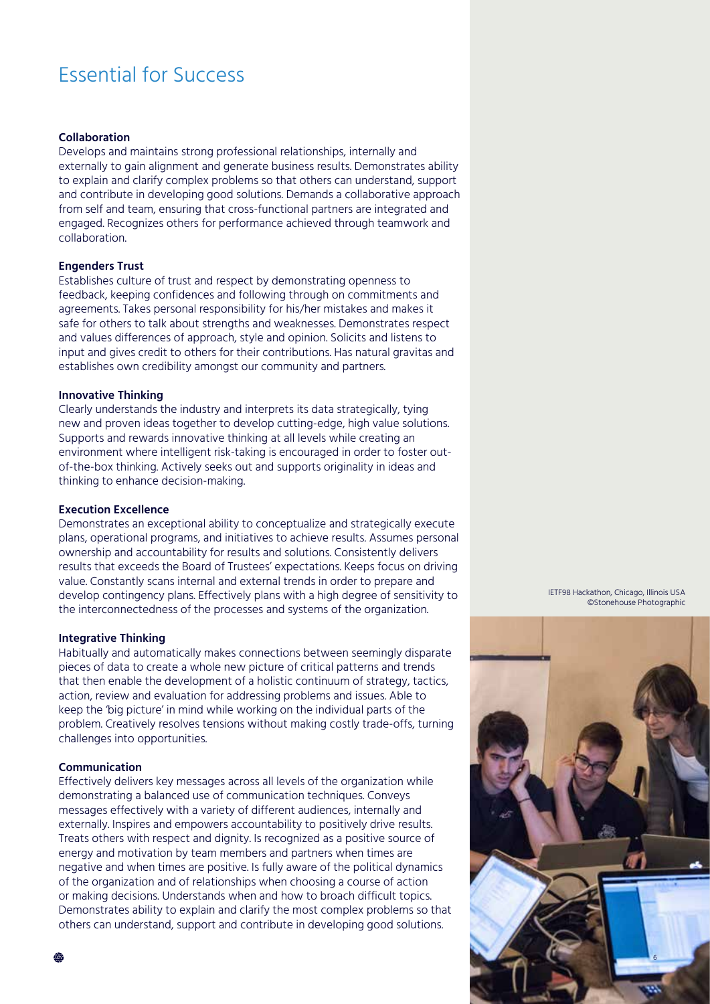## Essential for Success

#### **Collaboration**

Develops and maintains strong professional relationships, internally and externally to gain alignment and generate business results. Demonstrates ability to explain and clarify complex problems so that others can understand, support and contribute in developing good solutions. Demands a collaborative approach from self and team, ensuring that cross-functional partners are integrated and engaged. Recognizes others for performance achieved through teamwork and collaboration.

#### **Engenders Trust**

Establishes culture of trust and respect by demonstrating openness to feedback, keeping confidences and following through on commitments and agreements. Takes personal responsibility for his/her mistakes and makes it safe for others to talk about strengths and weaknesses. Demonstrates respect and values differences of approach, style and opinion. Solicits and listens to input and gives credit to others for their contributions. Has natural gravitas and establishes own credibility amongst our community and partners.

#### **Innovative Thinking**

Clearly understands the industry and interprets its data strategically, tying new and proven ideas together to develop cutting-edge, high value solutions. Supports and rewards innovative thinking at all levels while creating an environment where intelligent risk-taking is encouraged in order to foster outof-the-box thinking. Actively seeks out and supports originality in ideas and thinking to enhance decision-making.

#### **Execution Excellence**

Demonstrates an exceptional ability to conceptualize and strategically execute plans, operational programs, and initiatives to achieve results. Assumes personal ownership and accountability for results and solutions. Consistently delivers results that exceeds the Board of Trustees' expectations. Keeps focus on driving value. Constantly scans internal and external trends in order to prepare and develop contingency plans. Effectively plans with a high degree of sensitivity to the interconnectedness of the processes and systems of the organization.

#### **Integrative Thinking**

Habitually and automatically makes connections between seemingly disparate pieces of data to create a whole new picture of critical patterns and trends that then enable the development of a holistic continuum of strategy, tactics, action, review and evaluation for addressing problems and issues. Able to keep the 'big picture' in mind while working on the individual parts of the problem. Creatively resolves tensions without making costly trade-offs, turning challenges into opportunities.

#### **Communication**

Effectively delivers key messages across all levels of the organization while demonstrating a balanced use of communication techniques. Conveys messages effectively with a variety of different audiences, internally and externally. Inspires and empowers accountability to positively drive results. Treats others with respect and dignity. Is recognized as a positive source of energy and motivation by team members and partners when times are negative and when times are positive. Is fully aware of the political dynamics of the organization and of relationships when choosing a course of action or making decisions. Understands when and how to broach difficult topics. Demonstrates ability to explain and clarify the most complex problems so that others can understand, support and contribute in developing good solutions.

IETF98 Hackathon, Chicago, Illinois USA ©Stonehouse Photographic

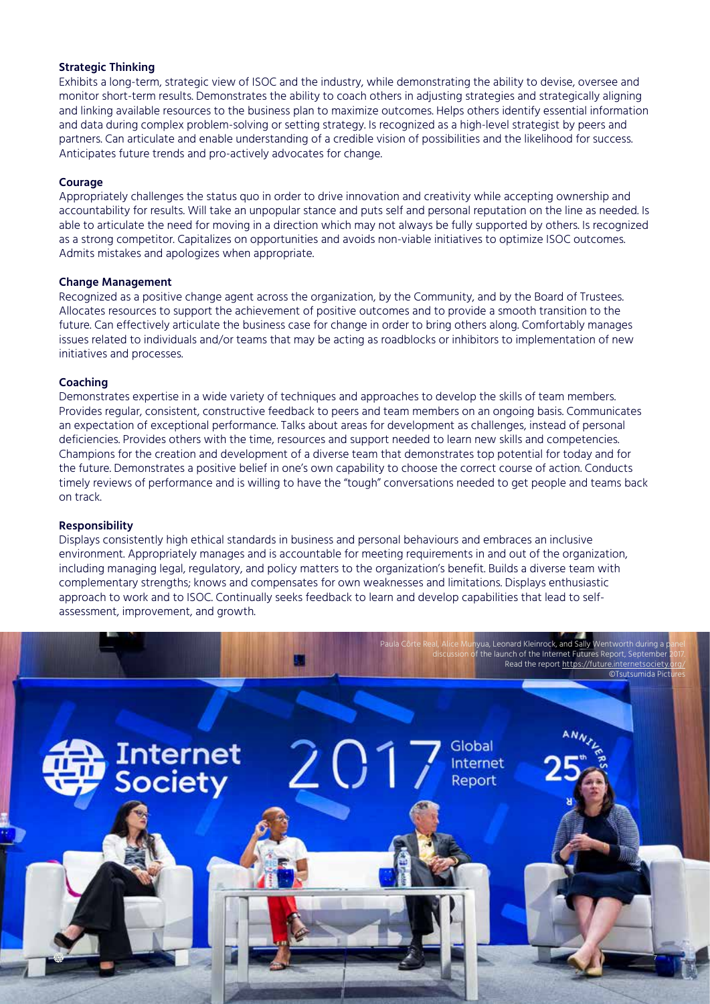#### **Strategic Thinking**

Exhibits a long-term, strategic view of ISOC and the industry, while demonstrating the ability to devise, oversee and monitor short-term results. Demonstrates the ability to coach others in adjusting strategies and strategically aligning and linking available resources to the business plan to maximize outcomes. Helps others identify essential information and data during complex problem-solving or setting strategy. Is recognized as a high-level strategist by peers and partners. Can articulate and enable understanding of a credible vision of possibilities and the likelihood for success. Anticipates future trends and pro-actively advocates for change.

#### **Courage**

Appropriately challenges the status quo in order to drive innovation and creativity while accepting ownership and accountability for results. Will take an unpopular stance and puts self and personal reputation on the line as needed. Is able to articulate the need for moving in a direction which may not always be fully supported by others. Is recognized as a strong competitor. Capitalizes on opportunities and avoids non-viable initiatives to optimize ISOC outcomes. Admits mistakes and apologizes when appropriate.

#### **Change Management**

Recognized as a positive change agent across the organization, by the Community, and by the Board of Trustees. Allocates resources to support the achievement of positive outcomes and to provide a smooth transition to the future. Can effectively articulate the business case for change in order to bring others along. Comfortably manages issues related to individuals and/or teams that may be acting as roadblocks or inhibitors to implementation of new initiatives and processes.

#### **Coaching**

Demonstrates expertise in a wide variety of techniques and approaches to develop the skills of team members. Provides regular, consistent, constructive feedback to peers and team members on an ongoing basis. Communicates an expectation of exceptional performance. Talks about areas for development as challenges, instead of personal deficiencies. Provides others with the time, resources and support needed to learn new skills and competencies. Champions for the creation and development of a diverse team that demonstrates top potential for today and for the future. Demonstrates a positive belief in one's own capability to choose the correct course of action. Conducts timely reviews of performance and is willing to have the "tough" conversations needed to get people and teams back on track.

#### **Responsibility**

Internet<br>Society

Displays consistently high ethical standards in business and personal behaviours and embraces an inclusive environment. Appropriately manages and is accountable for meeting requirements in and out of the organization, including managing legal, regulatory, and policy matters to the organization's benefit. Builds a diverse team with complementary strengths; knows and compensates for own weaknesses and limitations. Displays enthusiastic approach to work and to ISOC. Continually seeks feedback to learn and develop capabilities that lead to selfassessment, improvement, and growth.

7

©Tsutsumida Pict

1yua, Leonard Kleinrock, <mark>and Sally Wen</mark>tworth du f the launch of the Internet Futures Report, September Read the report https://future.internetsociety

Global Internet Report